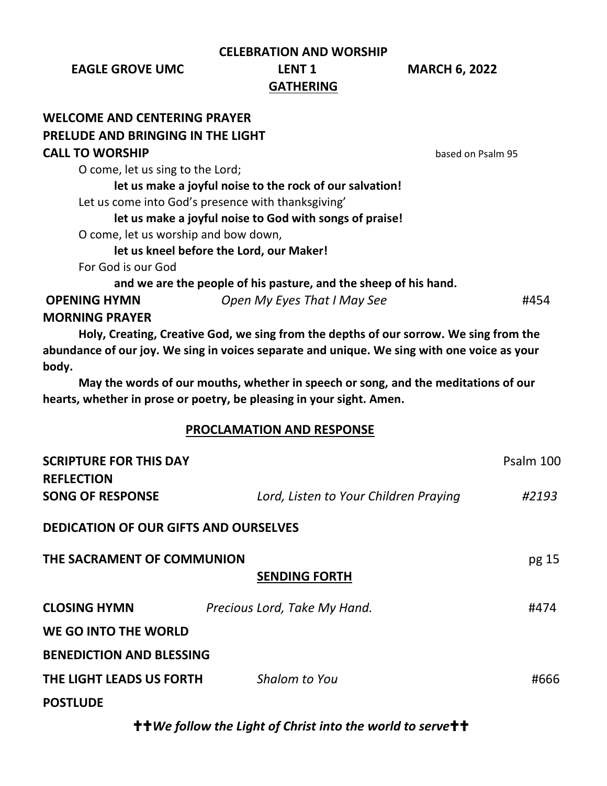**CELEBRATION AND WORSHIP**

**EAGLE GROVE UMC LENT 1 MARCH 6, 2022**

## **GATHERING**

## **WELCOME AND CENTERING PRAYER PRELUDE AND BRINGING IN THE LIGHT CALL TO WORSHIP based on Psalm 95** O come, let us sing to the Lord; **let us make a joyful noise to the rock of our salvation!**  Let us come into God's presence with thanksgiving' **let us make a joyful noise to God with songs of praise!**  O come, let us worship and bow down, **let us kneel before the Lord, our Maker!** For God is our God **and we are the people of his pasture, and the sheep of his hand. OPENING HYMN** *Open My Eyes That I May See* #454 **MORNING PRAYER Holy, Creating, Creative God, we sing from the depths of our sorrow. We sing from the abundance of our joy. We sing in voices separate and unique. We sing with one voice as your body. May the words of our mouths, whether in speech or song, and the meditations of our hearts, whether in prose or poetry, be pleasing in your sight. Amen. PROCLAMATION AND RESPONSE SCRIPTURE FOR THIS DAY Particular SCRIPTURE FOR THIS DAY PSALM 100 REFLECTION SONG OF RESPONSE** *Lord, Listen to Your Children Praying #2193* **DEDICATION OF OUR GIFTS AND OURSELVES THE SACRAMENT OF COMMUNION pg** 15 **SENDING FORTH CLOSING HYMN** *Precious Lord, Take My Hand.* #474 **WE GO INTO THE WORLD**

**BENEDICTION AND BLESSING**

| THE LIGHT LEADS US FORTH | Shalom to You | #666 |
|--------------------------|---------------|------|
| <b>POSTLUDE</b>          |               |      |

*We follow the Light of Christ into the world to serve*